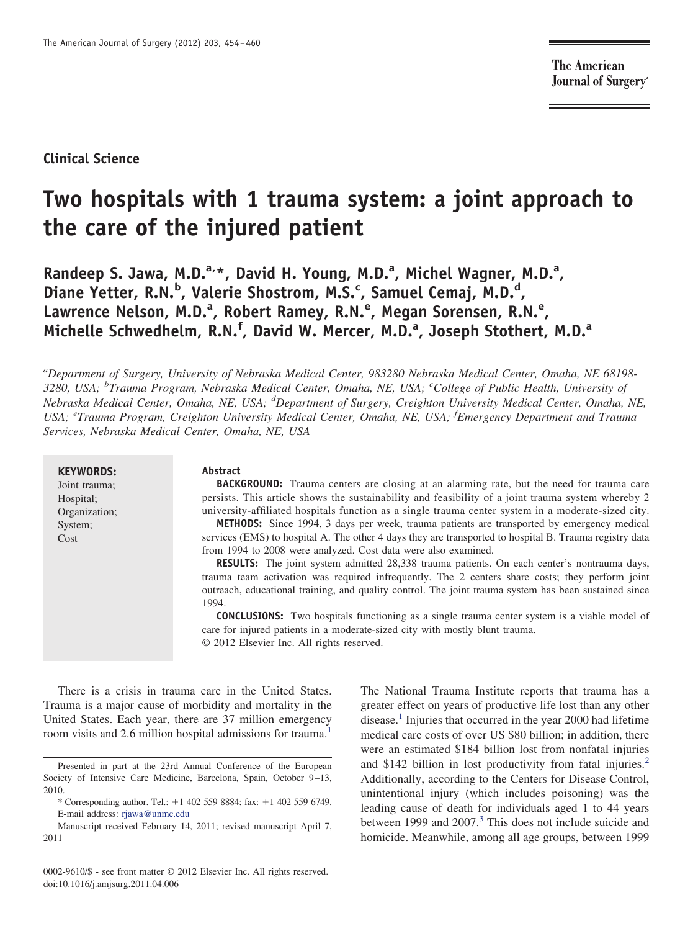**The American Journal of Surgery**<sup>\*</sup>

**Clinical Science**

# **Two hospitals with 1 trauma system: a joint approach to the care of the injured patient**

Randeep S. Jawa, M.D.<sup>a,\*</sup>, David H. Young, M.D.<sup>a</sup>, Michel Wagner, M.D.<sup>a</sup>, Diane Yetter, R.N.<sup>b</sup>, Valerie Shostrom, M.S.<sup>c</sup>, Samuel Cemaj, M.D.<sup>d</sup>, Lawrence Nelson, M.D.<sup>a</sup>, Robert Ramey, R.N.<sup>e</sup>, Megan Sorensen, R.N.<sup>e</sup>, Michelle Schwedhelm, R.N.<sup>f</sup>, David W. Mercer, M.D.<sup>a</sup>, Joseph Stothert, M.D.<sup>a</sup>

*a Department of Surgery, University of Nebraska Medical Center, 983280 Nebraska Medical Center, Omaha, NE 68198- 3280, USA; <sup>b</sup> Trauma Program, Nebraska Medical Center, Omaha, NE, USA; <sup>c</sup> College of Public Health, University of Nebraska Medical Center, Omaha, NE, USA; <sup>d</sup> Department of Surgery, Creighton University Medical Center, Omaha, NE, USA; <sup>e</sup> Trauma Program, Creighton University Medical Center, Omaha, NE, USA; <sup>f</sup> Emergency Department and Trauma Services, Nebraska Medical Center, Omaha, NE, USA*

| <b>KEYWORDS:</b> | Abstract                                                                                                |  |  |
|------------------|---------------------------------------------------------------------------------------------------------|--|--|
| Joint trauma:    | <b>BACKGROUND:</b> Trauma centers are closing at an alarming rate, but the need for trauma care         |  |  |
| Hospital;        | persists. This article shows the sustainability and feasibility of a joint trauma system whereby 2      |  |  |
| Organization;    | university-affiliated hospitals function as a single trauma center system in a moderate-sized city.     |  |  |
| System;          | <b>METHODS:</b> Since 1994, 3 days per week, trauma patients are transported by emergency medical       |  |  |
| Cost             | services (EMS) to hospital A. The other 4 days they are transported to hospital B. Trauma registry data |  |  |
|                  | from 1994 to 2008 were analyzed. Cost data were also examined.                                          |  |  |
|                  | <b>RESULTS:</b> The joint system admitted 28,338 trauma patients. On each center's nontrauma days,      |  |  |
|                  | trauma team activation was required infrequently. The 2 centers share costs; they perform joint         |  |  |
|                  | outreach, educational training, and quality control. The joint trauma system has been sustained since   |  |  |
|                  | 1994.                                                                                                   |  |  |
|                  | <b>CONCLUSIONS:</b> Two hospitals functioning as a single trauma center system is a viable model of     |  |  |
|                  | care for injured patients in a moderate-sized city with mostly blunt trauma.                            |  |  |
|                  | © 2012 Elsevier Inc. All rights reserved.                                                               |  |  |

There is a crisis in trauma care in the United States. Trauma is a major cause of morbidity and mortality in the United States. Each year, there are 37 million emergency room visits and 2.6 million hospital admissions for trauma.<sup>[1](#page-5-0)</sup>

The National Trauma Institute reports that trauma has a greater effect on years of productive life lost than any other disease.<sup>[1](#page-5-0)</sup> Injuries that occurred in the year 2000 had lifetime medical care costs of over US \$80 billion; in addition, there were an estimated \$184 billion lost from nonfatal injuries and \$14[2](#page-5-1) billion in lost productivity from fatal injuries.<sup>2</sup> Additionally, according to the Centers for Disease Control,

Presented in part at the 23rd Annual Conference of the European Society of Intensive Care Medicine, Barcelona, Spain, October 9-13, 2010.

<sup>\*</sup> Corresponding author. Tel.: 1-402-559-8884; fax: 1-402-559-6749. E-mail address: [rjawa@unmc.edu](mailto:rjawa@unmc.edu)

Manuscript received February 14, 2011; revised manuscript April 7, 2011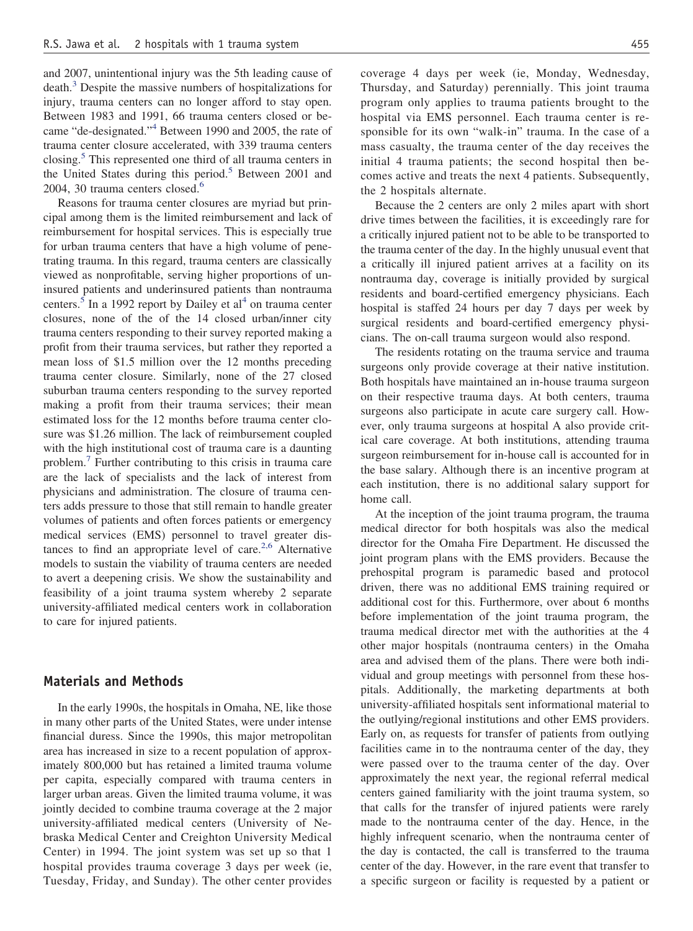and 2007, unintentional injury was the 5th leading cause of death.[3](#page-5-2) Despite the massive numbers of hospitalizations for injury, trauma centers can no longer afford to stay open. Between 1983 and 1991, 66 trauma centers closed or became "de-designated."[4](#page-5-3) Between 1990 and 2005, the rate of trauma center closure accelerated, with 339 trauma centers closing.[5](#page-5-4) This represented one third of all trauma centers in the United States during this period.<sup>[5](#page-5-4)</sup> Between 2001 and 2004, 30 trauma centers closed.<sup>[6](#page-5-5)</sup>

Reasons for trauma center closures are myriad but principal among them is the limited reimbursement and lack of reimbursement for hospital services. This is especially true for urban trauma centers that have a high volume of penetrating trauma. In this regard, trauma centers are classically viewed as nonprofitable, serving higher proportions of uninsured patients and underinsured patients than nontrauma centers.<sup>[5](#page-5-4)</sup> In a 1992 report by Dailey et  $al<sup>4</sup>$  $al<sup>4</sup>$  $al<sup>4</sup>$  on trauma center closures, none of the of the 14 closed urban/inner city trauma centers responding to their survey reported making a profit from their trauma services, but rather they reported a mean loss of \$1.5 million over the 12 months preceding trauma center closure. Similarly, none of the 27 closed suburban trauma centers responding to the survey reported making a profit from their trauma services; their mean estimated loss for the 12 months before trauma center closure was \$1.26 million. The lack of reimbursement coupled with the high institutional cost of trauma care is a daunting problem.[7](#page-5-6) Further contributing to this crisis in trauma care are the lack of specialists and the lack of interest from physicians and administration. The closure of trauma centers adds pressure to those that still remain to handle greater volumes of patients and often forces patients or emergency medical services (EMS) personnel to travel greater distances to find an appropriate level of care. $2.6$  Alternative models to sustain the viability of trauma centers are needed to avert a deepening crisis. We show the sustainability and feasibility of a joint trauma system whereby 2 separate university-affiliated medical centers work in collaboration to care for injured patients.

## **Materials and Methods**

In the early 1990s, the hospitals in Omaha, NE, like those in many other parts of the United States, were under intense financial duress. Since the 1990s, this major metropolitan area has increased in size to a recent population of approximately 800,000 but has retained a limited trauma volume per capita, especially compared with trauma centers in larger urban areas. Given the limited trauma volume, it was jointly decided to combine trauma coverage at the 2 major university-affiliated medical centers (University of Nebraska Medical Center and Creighton University Medical Center) in 1994. The joint system was set up so that 1 hospital provides trauma coverage 3 days per week (ie, Tuesday, Friday, and Sunday). The other center provides coverage 4 days per week (ie, Monday, Wednesday, Thursday, and Saturday) perennially. This joint trauma program only applies to trauma patients brought to the hospital via EMS personnel. Each trauma center is responsible for its own "walk-in" trauma. In the case of a mass casualty, the trauma center of the day receives the initial 4 trauma patients; the second hospital then becomes active and treats the next 4 patients. Subsequently, the 2 hospitals alternate.

Because the 2 centers are only 2 miles apart with short drive times between the facilities, it is exceedingly rare for a critically injured patient not to be able to be transported to the trauma center of the day. In the highly unusual event that a critically ill injured patient arrives at a facility on its nontrauma day, coverage is initially provided by surgical residents and board-certified emergency physicians. Each hospital is staffed 24 hours per day 7 days per week by surgical residents and board-certified emergency physicians. The on-call trauma surgeon would also respond.

The residents rotating on the trauma service and trauma surgeons only provide coverage at their native institution. Both hospitals have maintained an in-house trauma surgeon on their respective trauma days. At both centers, trauma surgeons also participate in acute care surgery call. However, only trauma surgeons at hospital A also provide critical care coverage. At both institutions, attending trauma surgeon reimbursement for in-house call is accounted for in the base salary. Although there is an incentive program at each institution, there is no additional salary support for home call.

At the inception of the joint trauma program, the trauma medical director for both hospitals was also the medical director for the Omaha Fire Department. He discussed the joint program plans with the EMS providers. Because the prehospital program is paramedic based and protocol driven, there was no additional EMS training required or additional cost for this. Furthermore, over about 6 months before implementation of the joint trauma program, the trauma medical director met with the authorities at the 4 other major hospitals (nontrauma centers) in the Omaha area and advised them of the plans. There were both individual and group meetings with personnel from these hospitals. Additionally, the marketing departments at both university-affiliated hospitals sent informational material to the outlying/regional institutions and other EMS providers. Early on, as requests for transfer of patients from outlying facilities came in to the nontrauma center of the day, they were passed over to the trauma center of the day. Over approximately the next year, the regional referral medical centers gained familiarity with the joint trauma system, so that calls for the transfer of injured patients were rarely made to the nontrauma center of the day. Hence, in the highly infrequent scenario, when the nontrauma center of the day is contacted, the call is transferred to the trauma center of the day. However, in the rare event that transfer to a specific surgeon or facility is requested by a patient or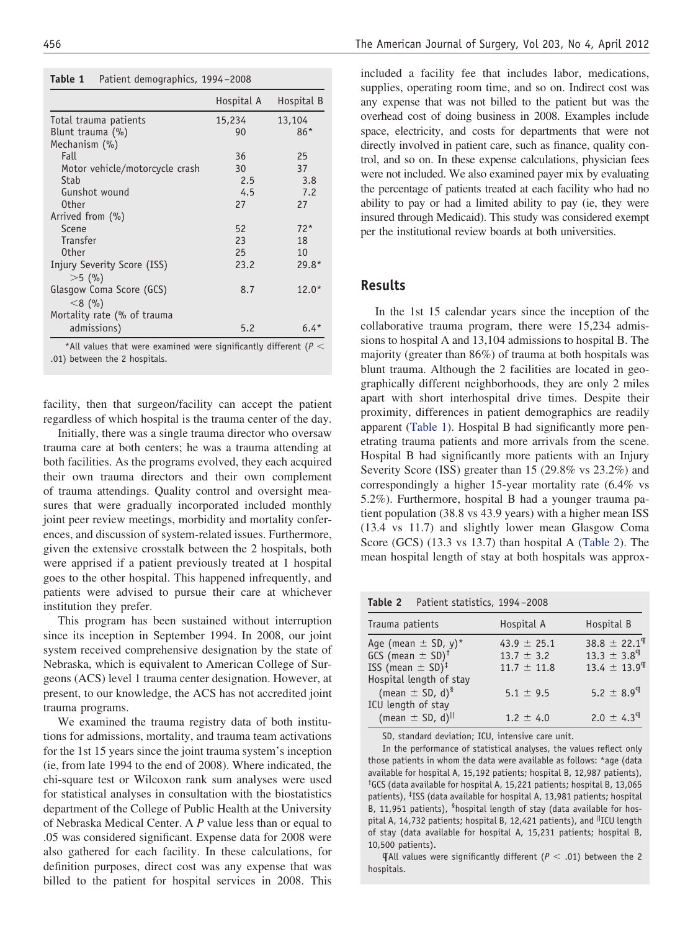<span id="page-2-0"></span>

| Patient demographics, 1994-2008<br>Table 1 |
|--------------------------------------------|
|--------------------------------------------|

|                                                                       | Hospital A                                                                                                                               | Hospital B |
|-----------------------------------------------------------------------|------------------------------------------------------------------------------------------------------------------------------------------|------------|
| Total trauma patients                                                 | 15,234                                                                                                                                   | 13,104     |
| Blunt trauma (%)                                                      | 90                                                                                                                                       | $86*$      |
| Mechanism (%)                                                         |                                                                                                                                          |            |
| Fall                                                                  | 36                                                                                                                                       | 25         |
| Motor vehicle/motorcycle crash                                        | 30                                                                                                                                       | 37         |
| Stab                                                                  | 2.5                                                                                                                                      | 3.8        |
| Gunshot wound                                                         | 4.5                                                                                                                                      | 7.2        |
| 0ther                                                                 | 27                                                                                                                                       | 27         |
| Arrived from (%)                                                      |                                                                                                                                          |            |
| Scene                                                                 | 52                                                                                                                                       | $72*$      |
| Transfer                                                              | 23                                                                                                                                       | 18         |
| 0ther                                                                 | 25                                                                                                                                       | 10         |
| Injury Severity Score (ISS)                                           | 23.2                                                                                                                                     | $29.8*$    |
| $>5$ (%)                                                              |                                                                                                                                          |            |
| Glasgow Coma Score (GCS)                                              | 8.7                                                                                                                                      | $12.0*$    |
| $<8$ (%)                                                              |                                                                                                                                          |            |
| Mortality rate (% of trauma                                           |                                                                                                                                          |            |
| admissions)                                                           | 5.2                                                                                                                                      | $6.4*$     |
| $\mathbf{r}$ , and $\mathbf{r}$ , and $\mathbf{r}$ , and $\mathbf{r}$ | $\mathbf{r} = \mathbf{r} \cdot \mathbf{r}$ and $\mathbf{r} = \mathbf{r} \cdot \mathbf{r}$ and $\mathbf{r} = \mathbf{r} \cdot \mathbf{r}$ |            |

 $^{\star}$ All values that were examined were significantly different ( $P<$ .01) between the 2 hospitals.

facility, then that surgeon/facility can accept the patient regardless of which hospital is the trauma center of the day.

Initially, there was a single trauma director who oversaw trauma care at both centers; he was a trauma attending at both facilities. As the programs evolved, they each acquired their own trauma directors and their own complement of trauma attendings. Quality control and oversight measures that were gradually incorporated included monthly joint peer review meetings, morbidity and mortality conferences, and discussion of system-related issues. Furthermore, given the extensive crosstalk between the 2 hospitals, both were apprised if a patient previously treated at 1 hospital goes to the other hospital. This happened infrequently, and patients were advised to pursue their care at whichever institution they prefer.

This program has been sustained without interruption since its inception in September 1994. In 2008, our joint system received comprehensive designation by the state of Nebraska, which is equivalent to American College of Surgeons (ACS) level 1 trauma center designation. However, at present, to our knowledge, the ACS has not accredited joint trauma programs.

We examined the trauma registry data of both institutions for admissions, mortality, and trauma team activations for the 1st 15 years since the joint trauma system's inception (ie, from late 1994 to the end of 2008). Where indicated, the chi-square test or Wilcoxon rank sum analyses were used for statistical analyses in consultation with the biostatistics department of the College of Public Health at the University of Nebraska Medical Center. A *P* value less than or equal to .05 was considered significant. Expense data for 2008 were also gathered for each facility. In these calculations, for definition purposes, direct cost was any expense that was billed to the patient for hospital services in 2008. This included a facility fee that includes labor, medications, supplies, operating room time, and so on. Indirect cost was any expense that was not billed to the patient but was the overhead cost of doing business in 2008. Examples include space, electricity, and costs for departments that were not directly involved in patient care, such as finance, quality control, and so on. In these expense calculations, physician fees were not included. We also examined payer mix by evaluating the percentage of patients treated at each facility who had no ability to pay or had a limited ability to pay (ie, they were insured through Medicaid). This study was considered exempt per the institutional review boards at both universities.

#### **Results**

In the 1st 15 calendar years since the inception of the collaborative trauma program, there were 15,234 admissions to hospital A and 13,104 admissions to hospital B. The majority (greater than 86%) of trauma at both hospitals was blunt trauma. Although the 2 facilities are located in geographically different neighborhoods, they are only 2 miles apart with short interhospital drive times. Despite their proximity, differences in patient demographics are readily apparent [\(Table 1\)](#page-2-0). Hospital B had significantly more penetrating trauma patients and more arrivals from the scene. Hospital B had significantly more patients with an Injury Severity Score (ISS) greater than 15 (29.8% vs 23.2%) and correspondingly a higher 15-year mortality rate (6.4% vs 5.2%). Furthermore, hospital B had a younger trauma patient population (38.8 vs 43.9 years) with a higher mean ISS (13.4 vs 11.7) and slightly lower mean Glasgow Coma Score (GCS) (13.3 vs 13.7) than hospital A [\(Table 2\)](#page-2-1). The mean hospital length of stay at both hospitals was approx-

<span id="page-2-1"></span>**Table 2** Patient statistics, 1994–2008

| Trauma patients                                                         | Hospital A                        | Hospital B                                                  |
|-------------------------------------------------------------------------|-----------------------------------|-------------------------------------------------------------|
| Age (mean $\pm$ SD, y) <sup>*</sup><br>GCS (mean $\pm$ SD) <sup>†</sup> | 43.9 $\pm$ 25.1<br>$13.7 \pm 3.2$ | $38.8 \pm 22.1$ <sup>T</sup><br>$13.3 \pm 3.8$ <sup>T</sup> |
| ISS (mean $\pm$ SD) <sup>‡</sup><br>Hospital length of stay             | $11.7 \pm 11.8$                   | $13.4 \pm 13.9^{\circ}$                                     |
| (mean $\pm$ SD, d) <sup>§</sup><br>ICU length of stay                   | $5.1 \pm 9.5$                     | 5.2 $\pm$ 8.9 <sup>T</sup>                                  |
| (mean $\pm$ SD, d) <sup>  </sup>                                        | $1.2 \pm 4.0$                     | $2.0 \pm 4.3$ <sup>T</sup>                                  |

SD, standard deviation; ICU, intensive care unit.

In the performance of statistical analyses, the values reflect only those patients in whom the data were available as follows: \*age (data available for hospital A, 15,192 patients; hospital B, 12,987 patients), † GCS (data available for hospital A, 15,221 patients; hospital B, 13,065 patients), <sup>‡</sup>ISS (data available for hospital A, 13,981 patients; hospital B, 11,951 patients), <sup>§</sup>hospital length of stay (data available for hospital A, 14,732 patients; hospital B, 12,421 patients), and  $\parallel$ ICU length of stay (data available for hospital A, 15,231 patients; hospital B, 10,500 patients).

Tall values were significantly different ( $P < .01$ ) between the 2 hospitals.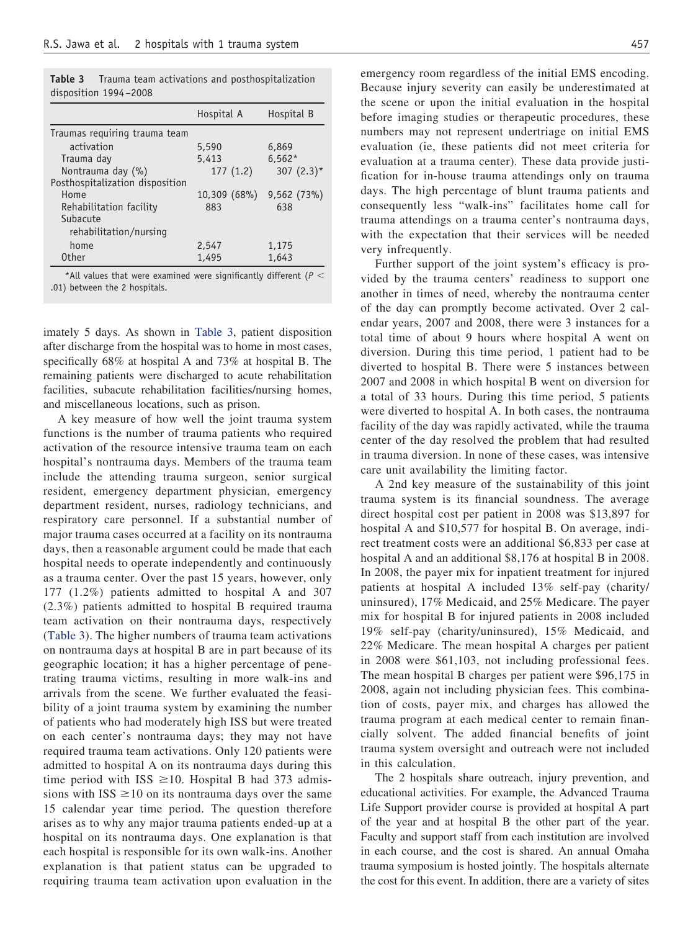<span id="page-3-0"></span>**Table 3** Trauma team activations and posthospitalization disposition 1994–2008

| Hospital A   | Hospital B    |
|--------------|---------------|
|              |               |
| 5,590        | 6,869         |
| 5,413        | $6,562*$      |
| 177(1.2)     | 307 $(2.3)^*$ |
|              |               |
| 10,309 (68%) | 9,562 (73%)   |
| 883          | 638           |
|              |               |
|              |               |
| 2,547        | 1,175         |
| 1.495        | 1,643         |
|              |               |

\*All values that were examined were significantly different (*P* .01) between the 2 hospitals.

imately 5 days. As shown in [Table 3,](#page-3-0) patient disposition after discharge from the hospital was to home in most cases, specifically 68% at hospital A and 73% at hospital B. The remaining patients were discharged to acute rehabilitation facilities, subacute rehabilitation facilities/nursing homes, and miscellaneous locations, such as prison.

A key measure of how well the joint trauma system functions is the number of trauma patients who required activation of the resource intensive trauma team on each hospital's nontrauma days. Members of the trauma team include the attending trauma surgeon, senior surgical resident, emergency department physician, emergency department resident, nurses, radiology technicians, and respiratory care personnel. If a substantial number of major trauma cases occurred at a facility on its nontrauma days, then a reasonable argument could be made that each hospital needs to operate independently and continuously as a trauma center. Over the past 15 years, however, only 177 (1.2%) patients admitted to hospital A and 307 (2.3%) patients admitted to hospital B required trauma team activation on their nontrauma days, respectively [\(Table 3\)](#page-3-0). The higher numbers of trauma team activations on nontrauma days at hospital B are in part because of its geographic location; it has a higher percentage of penetrating trauma victims, resulting in more walk-ins and arrivals from the scene. We further evaluated the feasibility of a joint trauma system by examining the number of patients who had moderately high ISS but were treated on each center's nontrauma days; they may not have required trauma team activations. Only 120 patients were admitted to hospital A on its nontrauma days during this time period with ISS  $\geq 10$ . Hospital B had 373 admissions with  $ISS \geq 10$  on its nontrauma days over the same 15 calendar year time period. The question therefore arises as to why any major trauma patients ended-up at a hospital on its nontrauma days. One explanation is that each hospital is responsible for its own walk-ins. Another explanation is that patient status can be upgraded to requiring trauma team activation upon evaluation in the emergency room regardless of the initial EMS encoding. Because injury severity can easily be underestimated at the scene or upon the initial evaluation in the hospital before imaging studies or therapeutic procedures, these numbers may not represent undertriage on initial EMS evaluation (ie, these patients did not meet criteria for evaluation at a trauma center). These data provide justification for in-house trauma attendings only on trauma days. The high percentage of blunt trauma patients and consequently less "walk-ins" facilitates home call for trauma attendings on a trauma center's nontrauma days, with the expectation that their services will be needed very infrequently.

Further support of the joint system's efficacy is provided by the trauma centers' readiness to support one another in times of need, whereby the nontrauma center of the day can promptly become activated. Over 2 calendar years, 2007 and 2008, there were 3 instances for a total time of about 9 hours where hospital A went on diversion. During this time period, 1 patient had to be diverted to hospital B. There were 5 instances between 2007 and 2008 in which hospital B went on diversion for a total of 33 hours. During this time period, 5 patients were diverted to hospital A. In both cases, the nontrauma facility of the day was rapidly activated, while the trauma center of the day resolved the problem that had resulted in trauma diversion. In none of these cases, was intensive care unit availability the limiting factor.

A 2nd key measure of the sustainability of this joint trauma system is its financial soundness. The average direct hospital cost per patient in 2008 was \$13,897 for hospital A and \$10,577 for hospital B. On average, indirect treatment costs were an additional \$6,833 per case at hospital A and an additional \$8,176 at hospital B in 2008. In 2008, the payer mix for inpatient treatment for injured patients at hospital A included 13% self-pay (charity/ uninsured), 17% Medicaid, and 25% Medicare. The payer mix for hospital B for injured patients in 2008 included 19% self-pay (charity/uninsured), 15% Medicaid, and 22% Medicare. The mean hospital A charges per patient in 2008 were \$61,103, not including professional fees. The mean hospital B charges per patient were \$96,175 in 2008, again not including physician fees. This combination of costs, payer mix, and charges has allowed the trauma program at each medical center to remain financially solvent. The added financial benefits of joint trauma system oversight and outreach were not included in this calculation.

The 2 hospitals share outreach, injury prevention, and educational activities. For example, the Advanced Trauma Life Support provider course is provided at hospital A part of the year and at hospital B the other part of the year. Faculty and support staff from each institution are involved in each course, and the cost is shared. An annual Omaha trauma symposium is hosted jointly. The hospitals alternate the cost for this event. In addition, there are a variety of sites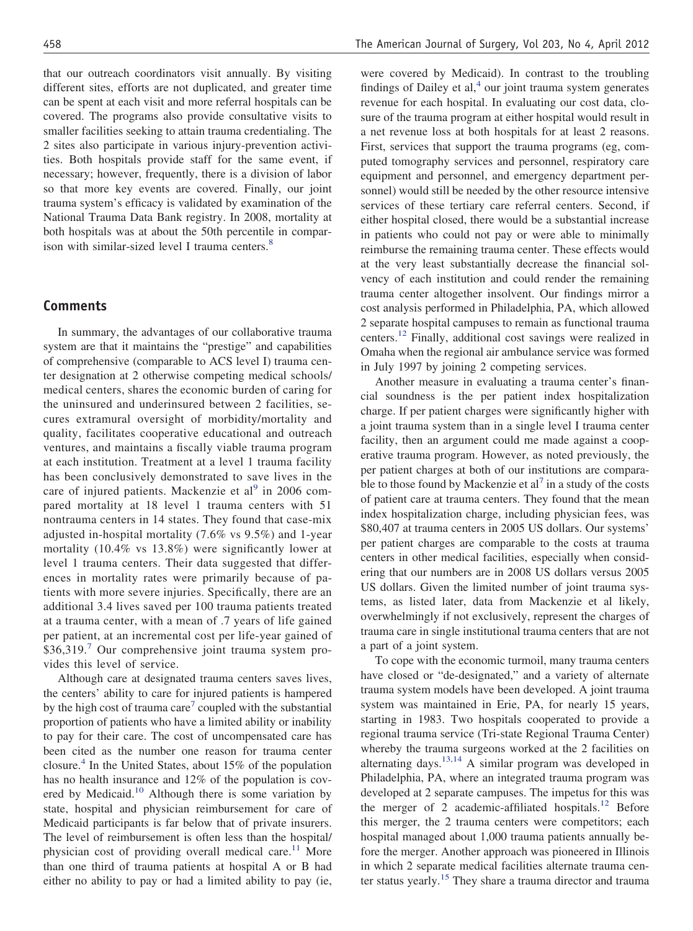that our outreach coordinators visit annually. By visiting different sites, efforts are not duplicated, and greater time can be spent at each visit and more referral hospitals can be covered. The programs also provide consultative visits to smaller facilities seeking to attain trauma credentialing. The 2 sites also participate in various injury-prevention activities. Both hospitals provide staff for the same event, if necessary; however, frequently, there is a division of labor so that more key events are covered. Finally, our joint trauma system's efficacy is validated by examination of the National Trauma Data Bank registry. In 2008, mortality at both hospitals was at about the 50th percentile in comparison with similar-sized level I trauma centers. $8$ 

#### **Comments**

In summary, the advantages of our collaborative trauma system are that it maintains the "prestige" and capabilities of comprehensive (comparable to ACS level I) trauma center designation at 2 otherwise competing medical schools/ medical centers, shares the economic burden of caring for the uninsured and underinsured between 2 facilities, secures extramural oversight of morbidity/mortality and quality, facilitates cooperative educational and outreach ventures, and maintains a fiscally viable trauma program at each institution. Treatment at a level 1 trauma facility has been conclusively demonstrated to save lives in the care of injured patients. Mackenzie et al<sup>[9](#page-6-1)</sup> in 2006 compared mortality at 18 level 1 trauma centers with 51 nontrauma centers in 14 states. They found that case-mix adjusted in-hospital mortality (7.6% vs 9.5%) and 1-year mortality (10.4% vs 13.8%) were significantly lower at level 1 trauma centers. Their data suggested that differences in mortality rates were primarily because of patients with more severe injuries. Specifically, there are an additional 3.4 lives saved per 100 trauma patients treated at a trauma center, with a mean of .7 years of life gained per patient, at an incremental cost per life-year gained of \$36,319.[7](#page-5-6) Our comprehensive joint trauma system provides this level of service.

Although care at designated trauma centers saves lives, the centers' ability to care for injured patients is hampered by the high cost of trauma care<sup>7</sup> coupled with the substantial proportion of patients who have a limited ability or inability to pay for their care. The cost of uncompensated care has been cited as the number one reason for trauma center closure.<sup>4</sup> In the United States, about  $15\%$  of the population has no health insurance and 12% of the population is cov-ered by Medicaid.<sup>[10](#page-6-2)</sup> Although there is some variation by state, hospital and physician reimbursement for care of Medicaid participants is far below that of private insurers. The level of reimbursement is often less than the hospital/ physician cost of providing overall medical care.<sup>[11](#page-6-3)</sup> More than one third of trauma patients at hospital A or B had either no ability to pay or had a limited ability to pay (ie, were covered by Medicaid). In contrast to the troubling findings of Dailey et  $al<sub>1</sub><sup>4</sup>$  $al<sub>1</sub><sup>4</sup>$  $al<sub>1</sub><sup>4</sup>$  our joint trauma system generates revenue for each hospital. In evaluating our cost data, closure of the trauma program at either hospital would result in a net revenue loss at both hospitals for at least 2 reasons. First, services that support the trauma programs (eg, computed tomography services and personnel, respiratory care equipment and personnel, and emergency department personnel) would still be needed by the other resource intensive services of these tertiary care referral centers. Second, if either hospital closed, there would be a substantial increase in patients who could not pay or were able to minimally reimburse the remaining trauma center. These effects would at the very least substantially decrease the financial solvency of each institution and could render the remaining trauma center altogether insolvent. Our findings mirror a cost analysis performed in Philadelphia, PA, which allowed 2 separate hospital campuses to remain as functional trauma centers[.12](#page-6-4) Finally, additional cost savings were realized in Omaha when the regional air ambulance service was formed in July 1997 by joining 2 competing services.

Another measure in evaluating a trauma center's financial soundness is the per patient index hospitalization charge. If per patient charges were significantly higher with a joint trauma system than in a single level I trauma center facility, then an argument could me made against a cooperative trauma program. However, as noted previously, the per patient charges at both of our institutions are comparable to those found by Mackenzie et  $al^7$  in a study of the costs of patient care at trauma centers. They found that the mean index hospitalization charge, including physician fees, was \$80,407 at trauma centers in 2005 US dollars. Our systems' per patient charges are comparable to the costs at trauma centers in other medical facilities, especially when considering that our numbers are in 2008 US dollars versus 2005 US dollars. Given the limited number of joint trauma systems, as listed later, data from Mackenzie et al likely, overwhelmingly if not exclusively, represent the charges of trauma care in single institutional trauma centers that are not a part of a joint system.

To cope with the economic turmoil, many trauma centers have closed or "de-designated," and a variety of alternate trauma system models have been developed. A joint trauma system was maintained in Erie, PA, for nearly 15 years, starting in 1983. Two hospitals cooperated to provide a regional trauma service (Tri-state Regional Trauma Center) whereby the trauma surgeons worked at the 2 facilities on alternating days[.13,14](#page-6-5) A similar program was developed in Philadelphia, PA, where an integrated trauma program was developed at 2 separate campuses. The impetus for this was the merger of 2 academic-affiliated hospitals.<sup>[12](#page-6-4)</sup> Before this merger, the 2 trauma centers were competitors; each hospital managed about 1,000 trauma patients annually before the merger. Another approach was pioneered in Illinois in which 2 separate medical facilities alternate trauma center status yearly.[15](#page-6-6) They share a trauma director and trauma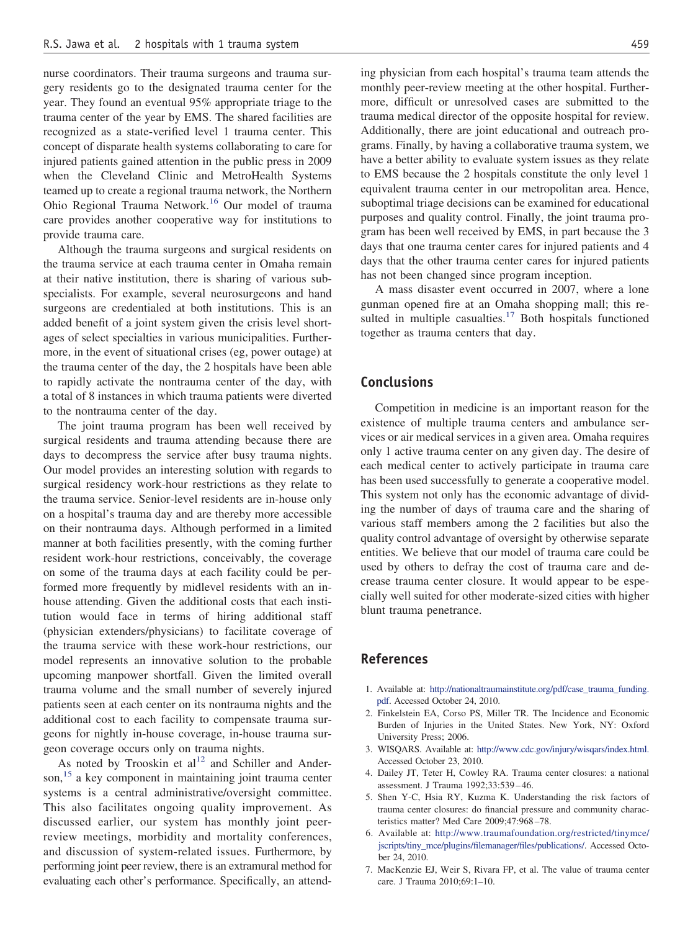nurse coordinators. Their trauma surgeons and trauma surgery residents go to the designated trauma center for the year. They found an eventual 95% appropriate triage to the trauma center of the year by EMS. The shared facilities are recognized as a state-verified level 1 trauma center. This concept of disparate health systems collaborating to care for injured patients gained attention in the public press in 2009 when the Cleveland Clinic and MetroHealth Systems teamed up to create a regional trauma network, the Northern Ohio Regional Trauma Network.[16](#page-6-7) Our model of trauma care provides another cooperative way for institutions to provide trauma care.

Although the trauma surgeons and surgical residents on the trauma service at each trauma center in Omaha remain at their native institution, there is sharing of various subspecialists. For example, several neurosurgeons and hand surgeons are credentialed at both institutions. This is an added benefit of a joint system given the crisis level shortages of select specialties in various municipalities. Furthermore, in the event of situational crises (eg, power outage) at the trauma center of the day, the 2 hospitals have been able to rapidly activate the nontrauma center of the day, with a total of 8 instances in which trauma patients were diverted to the nontrauma center of the day.

The joint trauma program has been well received by surgical residents and trauma attending because there are days to decompress the service after busy trauma nights. Our model provides an interesting solution with regards to surgical residency work-hour restrictions as they relate to the trauma service. Senior-level residents are in-house only on a hospital's trauma day and are thereby more accessible on their nontrauma days. Although performed in a limited manner at both facilities presently, with the coming further resident work-hour restrictions, conceivably, the coverage on some of the trauma days at each facility could be performed more frequently by midlevel residents with an inhouse attending. Given the additional costs that each institution would face in terms of hiring additional staff (physician extenders/physicians) to facilitate coverage of the trauma service with these work-hour restrictions, our model represents an innovative solution to the probable upcoming manpower shortfall. Given the limited overall trauma volume and the small number of severely injured patients seen at each center on its nontrauma nights and the additional cost to each facility to compensate trauma surgeons for nightly in-house coverage, in-house trauma surgeon coverage occurs only on trauma nights.

As noted by Trooskin et  $al<sup>12</sup>$  and Schiller and Anderson,<sup>15</sup> a key component in maintaining joint trauma center systems is a central administrative/oversight committee. This also facilitates ongoing quality improvement. As discussed earlier, our system has monthly joint peerreview meetings, morbidity and mortality conferences, and discussion of system-related issues. Furthermore, by performing joint peer review, there is an extramural method for evaluating each other's performance. Specifically, an attending physician from each hospital's trauma team attends the monthly peer-review meeting at the other hospital. Furthermore, difficult or unresolved cases are submitted to the trauma medical director of the opposite hospital for review. Additionally, there are joint educational and outreach programs. Finally, by having a collaborative trauma system, we have a better ability to evaluate system issues as they relate to EMS because the 2 hospitals constitute the only level 1 equivalent trauma center in our metropolitan area. Hence, suboptimal triage decisions can be examined for educational purposes and quality control. Finally, the joint trauma program has been well received by EMS, in part because the 3 days that one trauma center cares for injured patients and 4 days that the other trauma center cares for injured patients has not been changed since program inception.

A mass disaster event occurred in 2007, where a lone gunman opened fire at an Omaha shopping mall; this resulted in multiple casualties. $17$  Both hospitals functioned together as trauma centers that day.

## **Conclusions**

Competition in medicine is an important reason for the existence of multiple trauma centers and ambulance services or air medical services in a given area. Omaha requires only 1 active trauma center on any given day. The desire of each medical center to actively participate in trauma care has been used successfully to generate a cooperative model. This system not only has the economic advantage of dividing the number of days of trauma care and the sharing of various staff members among the 2 facilities but also the quality control advantage of oversight by otherwise separate entities. We believe that our model of trauma care could be used by others to defray the cost of trauma care and decrease trauma center closure. It would appear to be especially well suited for other moderate-sized cities with higher blunt trauma penetrance.

# <span id="page-5-0"></span>**References**

- <span id="page-5-1"></span>1. Available at: [http://nationaltraumainstitute.org/pdf/case\\_trauma\\_funding.](http://nationaltraumainstitute.org/pdf/case_trauma_funding.pdf) [pdf.](http://nationaltraumainstitute.org/pdf/case_trauma_funding.pdf) Accessed October 24, 2010.
- 2. Finkelstein EA, Corso PS, Miller TR. The Incidence and Economic Burden of Injuries in the United States. New York, NY: Oxford University Press; 2006.
- <span id="page-5-3"></span><span id="page-5-2"></span>3. WISQARS. Available at: [http://www.cdc.gov/injury/wisqars/index.html.](http://www.cdc.gov/injury/wisqars/index.html) Accessed October 23, 2010.
- <span id="page-5-4"></span>4. Dailey JT, Teter H, Cowley RA. Trauma center closures: a national assessment. J Trauma 1992;33:539 – 46.
- <span id="page-5-5"></span>5. Shen Y-C, Hsia RY, Kuzma K. Understanding the risk factors of trauma center closures: do financial pressure and community characteristics matter? Med Care 2009;47:968 –78.
- <span id="page-5-6"></span>6. Available at: [http://www.traumafoundation.org/restricted/tinymce/](http://www.traumafoundation.org/restricted/tinymce/jscripts/tiny_mce/plugins/filemanager/files/publications/) [jscripts/tiny\\_mce/plugins/filemanager/files/publications/.](http://www.traumafoundation.org/restricted/tinymce/jscripts/tiny_mce/plugins/filemanager/files/publications/) Accessed October 24, 2010.
- 7. MacKenzie EJ, Weir S, Rivara FP, et al. The value of trauma center care. J Trauma 2010;69:1–10.